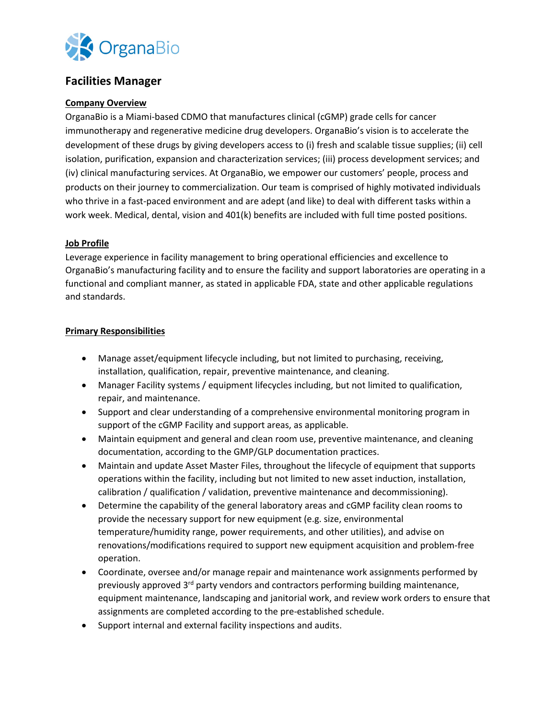

# **Facilities Manager**

#### **Company Overview**

OrganaBio is a Miami-based CDMO that manufactures clinical (cGMP) grade cells for cancer immunotherapy and regenerative medicine drug developers. OrganaBio's vision is to accelerate the development of these drugs by giving developers access to (i) fresh and scalable tissue supplies; (ii) cell isolation, purification, expansion and characterization services; (iii) process development services; and (iv) clinical manufacturing services. At OrganaBio, we empower our customers' people, process and products on their journey to commercialization. Our team is comprised of highly motivated individuals who thrive in a fast-paced environment and are adept (and like) to deal with different tasks within a work week. Medical, dental, vision and 401(k) benefits are included with full time posted positions.

### **Job Profile**

Leverage experience in facility management to bring operational efficiencies and excellence to OrganaBio's manufacturing facility and to ensure the facility and support laboratories are operating in a functional and compliant manner, as stated in applicable FDA, state and other applicable regulations and standards.

#### **Primary Responsibilities**

- Manage asset/equipment lifecycle including, but not limited to purchasing, receiving, installation, qualification, repair, preventive maintenance, and cleaning.
- Manager Facility systems / equipment lifecycles including, but not limited to qualification, repair, and maintenance.
- Support and clear understanding of a comprehensive environmental monitoring program in support of the cGMP Facility and support areas, as applicable.
- Maintain equipment and general and clean room use, preventive maintenance, and cleaning documentation, according to the GMP/GLP documentation practices.
- Maintain and update Asset Master Files, throughout the lifecycle of equipment that supports operations within the facility, including but not limited to new asset induction, installation, calibration / qualification / validation, preventive maintenance and decommissioning).
- Determine the capability of the general laboratory areas and cGMP facility clean rooms to provide the necessary support for new equipment (e.g. size, environmental temperature/humidity range, power requirements, and other utilities), and advise on renovations/modifications required to support new equipment acquisition and problem-free operation.
- Coordinate, oversee and/or manage repair and maintenance work assignments performed by previously approved  $3<sup>rd</sup>$  party vendors and contractors performing building maintenance, equipment maintenance, landscaping and janitorial work, and review work orders to ensure that assignments are completed according to the pre-established schedule.
- Support internal and external facility inspections and audits.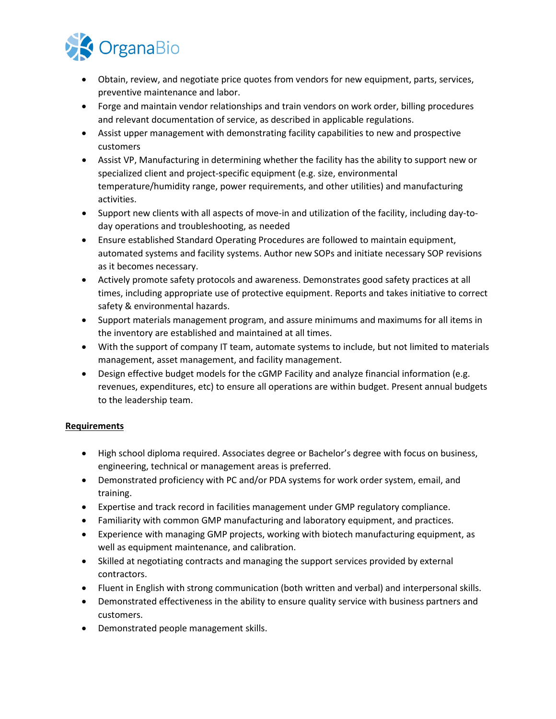

- Obtain, review, and negotiate price quotes from vendors for new equipment, parts, services, preventive maintenance and labor.
- Forge and maintain vendor relationships and train vendors on work order, billing procedures and relevant documentation of service, as described in applicable regulations.
- Assist upper management with demonstrating facility capabilities to new and prospective customers
- Assist VP, Manufacturing in determining whether the facility has the ability to support new or specialized client and project-specific equipment (e.g. size, environmental temperature/humidity range, power requirements, and other utilities) and manufacturing activities.
- Support new clients with all aspects of move-in and utilization of the facility, including day-today operations and troubleshooting, as needed
- Ensure established Standard Operating Procedures are followed to maintain equipment, automated systems and facility systems. Author new SOPs and initiate necessary SOP revisions as it becomes necessary.
- Actively promote safety protocols and awareness. Demonstrates good safety practices at all times, including appropriate use of protective equipment. Reports and takes initiative to correct safety & environmental hazards.
- Support materials management program, and assure minimums and maximums for all items in the inventory are established and maintained at all times.
- With the support of company IT team, automate systems to include, but not limited to materials management, asset management, and facility management.
- Design effective budget models for the cGMP Facility and analyze financial information (e.g. revenues, expenditures, etc) to ensure all operations are within budget. Present annual budgets to the leadership team.

## **Requirements**

- High school diploma required. Associates degree or Bachelor's degree with focus on business, engineering, technical or management areas is preferred.
- Demonstrated proficiency with PC and/or PDA systems for work order system, email, and training.
- Expertise and track record in facilities management under GMP regulatory compliance.
- Familiarity with common GMP manufacturing and laboratory equipment, and practices.
- Experience with managing GMP projects, working with biotech manufacturing equipment, as well as equipment maintenance, and calibration.
- Skilled at negotiating contracts and managing the support services provided by external contractors.
- Fluent in English with strong communication (both written and verbal) and interpersonal skills.
- Demonstrated effectiveness in the ability to ensure quality service with business partners and customers.
- Demonstrated people management skills.